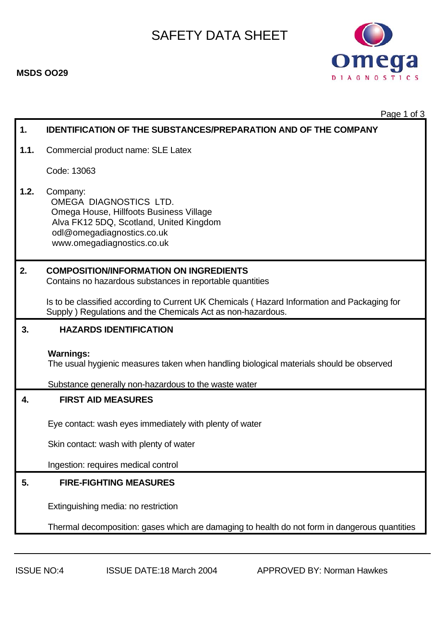

 Page 1 of 3 **1. IDENTIFICATION OF THE SUBSTANCES/PREPARATION AND OF THE COMPANY 1.1.** Commercial product name: SLE Latex Code: 13063 **1.2.** Company: OMEGA DIAGNOSTICS LTD. Omega House, Hillfoots Business Village Alva FK12 5DQ, Scotland, United Kingdom odl@omegadiagnostics.co.uk www.omegadiagnostics.co.uk **2. COMPOSITION/INFORMATION ON INGREDIENTS** Contains no hazardous substances in reportable quantities Is to be classified according to Current UK Chemicals ( Hazard Information and Packaging for Supply ) Regulations and the Chemicals Act as non-hazardous. **3. HAZARDS IDENTIFICATION Warnings:**  The usual hygienic measures taken when handling biological materials should be observed Substance generally non-hazardous to the waste water **4. FIRST AID MEASURES**  Eye contact: wash eyes immediately with plenty of water Skin contact: wash with plenty of water Ingestion: requires medical control **5. FIRE-FIGHTING MEASURES**  Extinguishing media: no restriction Thermal decomposition: gases which are damaging to health do not form in dangerous quantities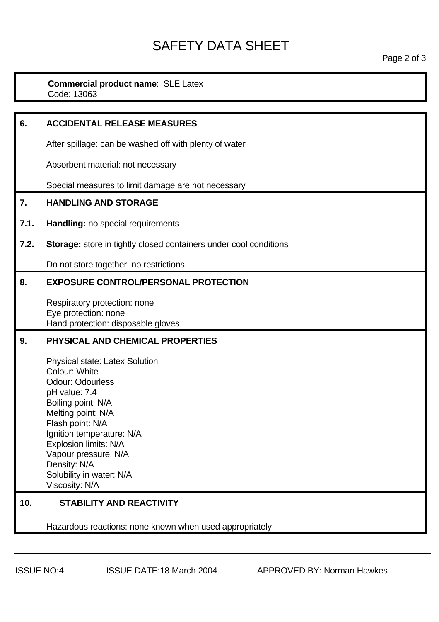#### **Commercial product name**: SLE Latex Code: 13063

| 6.   | <b>ACCIDENTAL RELEASE MEASURES</b>                                                                                                                                                                                                                                                                                    |
|------|-----------------------------------------------------------------------------------------------------------------------------------------------------------------------------------------------------------------------------------------------------------------------------------------------------------------------|
|      | After spillage: can be washed off with plenty of water                                                                                                                                                                                                                                                                |
|      | Absorbent material: not necessary                                                                                                                                                                                                                                                                                     |
|      | Special measures to limit damage are not necessary                                                                                                                                                                                                                                                                    |
| 7.   | <b>HANDLING AND STORAGE</b>                                                                                                                                                                                                                                                                                           |
| 7.1. | Handling: no special requirements                                                                                                                                                                                                                                                                                     |
| 7.2. | <b>Storage:</b> store in tightly closed containers under cool conditions                                                                                                                                                                                                                                              |
|      | Do not store together: no restrictions                                                                                                                                                                                                                                                                                |
| 8.   | <b>EXPOSURE CONTROL/PERSONAL PROTECTION</b>                                                                                                                                                                                                                                                                           |
|      | Respiratory protection: none<br>Eye protection: none<br>Hand protection: disposable gloves                                                                                                                                                                                                                            |
| 9.   | PHYSICAL AND CHEMICAL PROPERTIES                                                                                                                                                                                                                                                                                      |
|      | <b>Physical state: Latex Solution</b><br><b>Colour: White</b><br><b>Odour: Odourless</b><br>pH value: 7.4<br>Boiling point: N/A<br>Melting point: N/A<br>Flash point: N/A<br>Ignition temperature: N/A<br>Explosion limits: N/A<br>Vapour pressure: N/A<br>Density: N/A<br>Solubility in water: N/A<br>Viscosity: N/A |
| 10.  | <b>STABILITY AND REACTIVITY</b>                                                                                                                                                                                                                                                                                       |
|      |                                                                                                                                                                                                                                                                                                                       |

Hazardous reactions: none known when used appropriately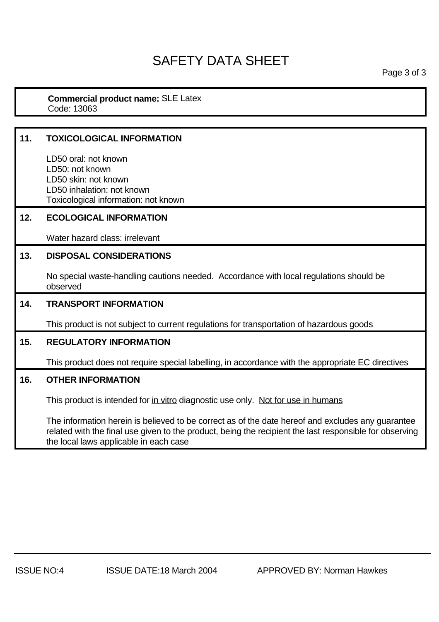Page 3 of 3

#### **Commercial product name:** SLE Latex Code: 13063

### **11. TOXICOLOGICAL INFORMATION**  LD50 oral: not known LD50: not known LD50 skin: not known LD50 inhalation: not known Toxicological information: not known **12. ECOLOGICAL INFORMATION**  Water hazard class: irrelevant **13. DISPOSAL CONSIDERATIONS**  No special waste-handling cautions needed. Accordance with local regulations should be observed **14. TRANSPORT INFORMATION**  This product is not subject to current regulations for transportation of hazardous goods **15. REGULATORY INFORMATION**  This product does not require special labelling, in accordance with the appropriate EC directives **16. OTHER INFORMATION**  This product is intended for in vitro diagnostic use only. Not for use in humans The information herein is believed to be correct as of the date hereof and excludes any guarantee related with the final use given to the product, being the recipient the last responsible for observing

the local laws applicable in each case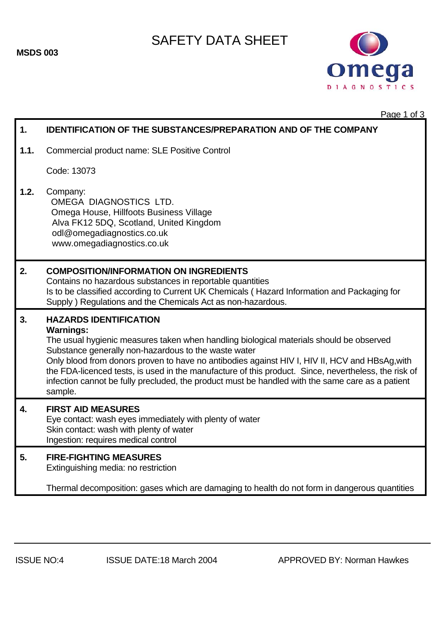**MSDS 003** 

## SAFETY DATA SHEET



Page 1 of 3

| 1.   | <b>IDENTIFICATION OF THE SUBSTANCES/PREPARATION AND OF THE COMPANY</b>                                                                                                                                                                                                                                                                                                                                                                                                                                                        |
|------|-------------------------------------------------------------------------------------------------------------------------------------------------------------------------------------------------------------------------------------------------------------------------------------------------------------------------------------------------------------------------------------------------------------------------------------------------------------------------------------------------------------------------------|
| 1.1. | Commercial product name: SLE Positive Control                                                                                                                                                                                                                                                                                                                                                                                                                                                                                 |
|      | Code: 13073                                                                                                                                                                                                                                                                                                                                                                                                                                                                                                                   |
| 1.2. | Company:<br>OMEGA DIAGNOSTICS LTD.<br>Omega House, Hillfoots Business Village<br>Alva FK12 5DQ, Scotland, United Kingdom<br>odl@omegadiagnostics.co.uk<br>www.omegadiagnostics.co.uk                                                                                                                                                                                                                                                                                                                                          |
| 2.   | <b>COMPOSITION/INFORMATION ON INGREDIENTS</b><br>Contains no hazardous substances in reportable quantities<br>Is to be classified according to Current UK Chemicals (Hazard Information and Packaging for<br>Supply) Regulations and the Chemicals Act as non-hazardous.                                                                                                                                                                                                                                                      |
| 3.   | <b>HAZARDS IDENTIFICATION</b><br><b>Warnings:</b><br>The usual hygienic measures taken when handling biological materials should be observed<br>Substance generally non-hazardous to the waste water<br>Only blood from donors proven to have no antibodies against HIV I, HIV II, HCV and HBsAg, with<br>the FDA-licenced tests, is used in the manufacture of this product. Since, nevertheless, the risk of<br>infection cannot be fully precluded, the product must be handled with the same care as a patient<br>sample. |
| 4.   | <b>FIRST AID MEASURES</b><br>Eye contact: wash eyes immediately with plenty of water<br>Skin contact: wash with plenty of water<br>Ingestion: requires medical control                                                                                                                                                                                                                                                                                                                                                        |
| 5.   | <b>FIRE-FIGHTING MEASURES</b><br>Extinguishing media: no restriction                                                                                                                                                                                                                                                                                                                                                                                                                                                          |
|      | Thermal decomposition: gases which are damaging to health do not form in dangerous quantities                                                                                                                                                                                                                                                                                                                                                                                                                                 |
|      |                                                                                                                                                                                                                                                                                                                                                                                                                                                                                                                               |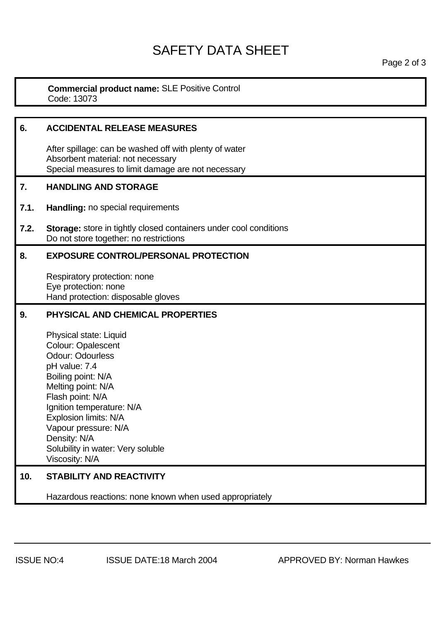#### **Commercial product name:** SLE Positive Control Code: 13073

| 6.   | <b>ACCIDENTAL RELEASE MEASURES</b>                                                                                                                                                                                                                                                                                   |
|------|----------------------------------------------------------------------------------------------------------------------------------------------------------------------------------------------------------------------------------------------------------------------------------------------------------------------|
|      | After spillage: can be washed off with plenty of water<br>Absorbent material: not necessary<br>Special measures to limit damage are not necessary                                                                                                                                                                    |
| 7.   | <b>HANDLING AND STORAGE</b>                                                                                                                                                                                                                                                                                          |
| 7.1. | Handling: no special requirements                                                                                                                                                                                                                                                                                    |
| 7.2. | <b>Storage:</b> store in tightly closed containers under cool conditions<br>Do not store together: no restrictions                                                                                                                                                                                                   |
| 8.   | <b>EXPOSURE CONTROL/PERSONAL PROTECTION</b>                                                                                                                                                                                                                                                                          |
|      | Respiratory protection: none<br>Eye protection: none<br>Hand protection: disposable gloves                                                                                                                                                                                                                           |
| 9.   | PHYSICAL AND CHEMICAL PROPERTIES                                                                                                                                                                                                                                                                                     |
|      | Physical state: Liquid<br><b>Colour: Opalescent</b><br><b>Odour: Odourless</b><br>pH value: 7.4<br>Boiling point: N/A<br>Melting point: N/A<br>Flash point: N/A<br>Ignition temperature: N/A<br>Explosion limits: N/A<br>Vapour pressure: N/A<br>Density: N/A<br>Solubility in water: Very soluble<br>Viscosity: N/A |
| 10.  | <b>STABILITY AND REACTIVITY</b>                                                                                                                                                                                                                                                                                      |
|      | Hazardous reactions: none known when used appropriately                                                                                                                                                                                                                                                              |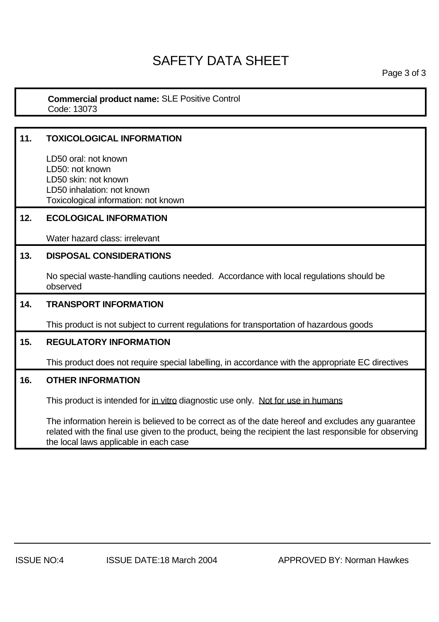Page 3 of 3

#### **Commercial product name:** SLE Positive Control Code: 13073

## **11. TOXICOLOGICAL INFORMATION**  LD50 oral: not known LD50: not known LD50 skin: not known LD50 inhalation: not known Toxicological information: not known **12. ECOLOGICAL INFORMATION**  Water hazard class: irrelevant **13. DISPOSAL CONSIDERATIONS**  No special waste-handling cautions needed. Accordance with local regulations should be observed **14. TRANSPORT INFORMATION**  This product is not subject to current regulations for transportation of hazardous goods **15. REGULATORY INFORMATION**  This product does not require special labelling, in accordance with the appropriate EC directives **16. OTHER INFORMATION**  This product is intended for in vitro diagnostic use only. Not for use in humans The information herein is believed to be correct as of the date hereof and excludes any guarantee

related with the final use given to the product, being the recipient the last responsible for observing the local laws applicable in each case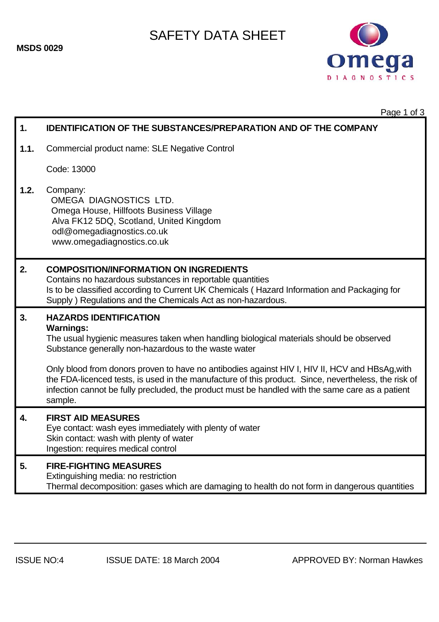

Page 1 of 3

| 1.   | <b>IDENTIFICATION OF THE SUBSTANCES/PREPARATION AND OF THE COMPANY</b>                                                                                                                                                                                                                                                                                                                                                                                                                                                        |
|------|-------------------------------------------------------------------------------------------------------------------------------------------------------------------------------------------------------------------------------------------------------------------------------------------------------------------------------------------------------------------------------------------------------------------------------------------------------------------------------------------------------------------------------|
| 1.1. | Commercial product name: SLE Negative Control                                                                                                                                                                                                                                                                                                                                                                                                                                                                                 |
|      | Code: 13000                                                                                                                                                                                                                                                                                                                                                                                                                                                                                                                   |
| 1.2. | Company:<br>OMEGA DIAGNOSTICS LTD.<br>Omega House, Hillfoots Business Village<br>Alva FK12 5DQ, Scotland, United Kingdom<br>odl@omegadiagnostics.co.uk<br>www.omegadiagnostics.co.uk                                                                                                                                                                                                                                                                                                                                          |
| 2.   | <b>COMPOSITION/INFORMATION ON INGREDIENTS</b><br>Contains no hazardous substances in reportable quantities<br>Is to be classified according to Current UK Chemicals (Hazard Information and Packaging for<br>Supply ) Regulations and the Chemicals Act as non-hazardous.                                                                                                                                                                                                                                                     |
| 3.   | <b>HAZARDS IDENTIFICATION</b><br><b>Warnings:</b><br>The usual hygienic measures taken when handling biological materials should be observed<br>Substance generally non-hazardous to the waste water<br>Only blood from donors proven to have no antibodies against HIV I, HIV II, HCV and HBsAg, with<br>the FDA-licenced tests, is used in the manufacture of this product. Since, nevertheless, the risk of<br>infection cannot be fully precluded, the product must be handled with the same care as a patient<br>sample. |
| 4.   | <b>FIRST AID MEASURES</b><br>Eye contact: wash eyes immediately with plenty of water<br>Skin contact: wash with plenty of water<br>Ingestion: requires medical control                                                                                                                                                                                                                                                                                                                                                        |
| 5.   | <b>FIRE-FIGHTING MEASURES</b><br>Extinguishing media: no restriction<br>Thermal decomposition: gases which are damaging to health do not form in dangerous quantities                                                                                                                                                                                                                                                                                                                                                         |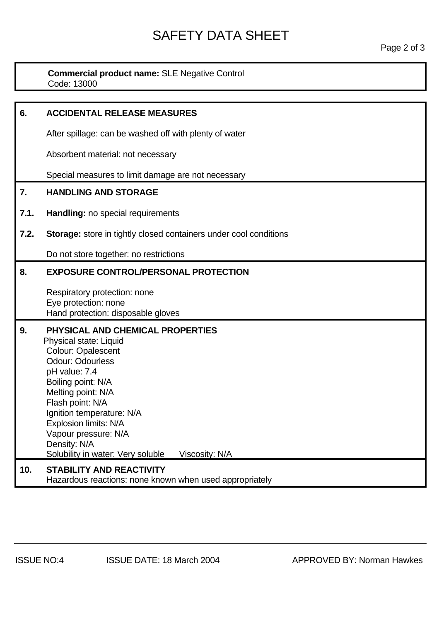# SAFETY DATA SHEET<br>Page 2 of 3

**Commercial product name:** SLE Negative Control Code: 13000

| 6.   | <b>ACCIDENTAL RELEASE MEASURES</b>                                                                                                                                                                                                                                                                                                                |
|------|---------------------------------------------------------------------------------------------------------------------------------------------------------------------------------------------------------------------------------------------------------------------------------------------------------------------------------------------------|
|      | After spillage: can be washed off with plenty of water                                                                                                                                                                                                                                                                                            |
|      | Absorbent material: not necessary                                                                                                                                                                                                                                                                                                                 |
|      | Special measures to limit damage are not necessary                                                                                                                                                                                                                                                                                                |
| 7.   | <b>HANDLING AND STORAGE</b>                                                                                                                                                                                                                                                                                                                       |
| 7.1. | Handling: no special requirements                                                                                                                                                                                                                                                                                                                 |
| 7.2. | Storage: store in tightly closed containers under cool conditions                                                                                                                                                                                                                                                                                 |
|      | Do not store together: no restrictions                                                                                                                                                                                                                                                                                                            |
| 8.   | <b>EXPOSURE CONTROL/PERSONAL PROTECTION</b>                                                                                                                                                                                                                                                                                                       |
|      | Respiratory protection: none<br>Eye protection: none<br>Hand protection: disposable gloves                                                                                                                                                                                                                                                        |
| 9.   | PHYSICAL AND CHEMICAL PROPERTIES<br>Physical state: Liquid<br>Colour: Opalescent<br><b>Odour: Odourless</b><br>pH value: 7.4<br>Boiling point: N/A<br>Melting point: N/A<br>Flash point: N/A<br>Ignition temperature: N/A<br>Explosion limits: N/A<br>Vapour pressure: N/A<br>Density: N/A<br>Solubility in water: Very soluble<br>Viscosity: N/A |
| 10.  | <b>STABILITY AND REACTIVITY</b><br>Hazardous reactions: none known when used appropriately                                                                                                                                                                                                                                                        |